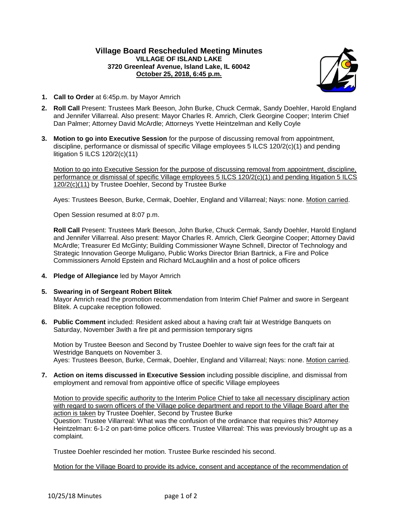## **Village Board Rescheduled Meeting Minutes VILLAGE OF ISLAND LAKE 3720 Greenleaf Avenue, Island Lake, IL 60042 October 25, 2018, 6:45 p.m.**



- **1. Call to Order** at 6:45p.m. by Mayor Amrich
- **2. Roll Call** Present: Trustees Mark Beeson, John Burke, Chuck Cermak, Sandy Doehler, Harold England and Jennifer Villarreal. Also present: Mayor Charles R. Amrich, Clerk Georgine Cooper; Interim Chief Dan Palmer; Attorney David McArdle; Attorneys Yvette Heintzelman and Kelly Coyle
- **3. Motion to go into Executive Session** for the purpose of discussing removal from appointment, discipline, performance or dismissal of specific Village employees 5 ILCS 120/2(c)(1) and pending litigation 5 ILCS 120/2(c)(11)

Motion to go into Executive Session for the purpose of discussing removal from appointment, discipline, performance or dismissal of specific Village employees 5 ILCS 120/2(c)(1) and pending litigation 5 ILCS 120/2(c)(11) by Trustee Doehler, Second by Trustee Burke

Ayes: Trustees Beeson, Burke, Cermak, Doehler, England and Villarreal; Nays: none. Motion carried.

Open Session resumed at 8:07 p.m.

**Roll Call** Present: Trustees Mark Beeson, John Burke, Chuck Cermak, Sandy Doehler, Harold England and Jennifer Villarreal. Also present: Mayor Charles R. Amrich, Clerk Georgine Cooper; Attorney David McArdle; Treasurer Ed McGinty; Building Commissioner Wayne Schnell, Director of Technology and Strategic Innovation George Muligano, Public Works Director Brian Bartnick, a Fire and Police Commissioners Arnold Epstein and Richard McLaughlin and a host of police officers

- **4. Pledge of Allegiance** led by Mayor Amrich
- **5. Swearing in of Sergeant Robert Blitek**

Mayor Amrich read the promotion recommendation from Interim Chief Palmer and swore in Sergeant Blitek. A cupcake reception followed.

**6. Public Comment** included: Resident asked about a having craft fair at Westridge Banquets on Saturday, November 3with a fire pit and permission temporary signs

Motion by Trustee Beeson and Second by Trustee Doehler to waive sign fees for the craft fair at Westridge Banquets on November 3. Ayes: Trustees Beeson, Burke, Cermak, Doehler, England and Villarreal; Nays: none. Motion carried.

**7. Action on items discussed in Executive Session** including possible discipline, and dismissal from employment and removal from appointive office of specific Village employees

Motion to provide specific authority to the Interim Police Chief to take all necessary disciplinary action with regard to sworn officers of the Village police department and report to the Village Board after the action is taken by Trustee Doehler, Second by Trustee Burke Question: Trustee Villarreal: What was the confusion of the ordinance that requires this? Attorney Heintzelman: 6-1-2 on part-time police officers. Trustee Villarreal: This was previously brought up as a complaint.

Trustee Doehler rescinded her motion. Trustee Burke rescinded his second.

Motion for the Village Board to provide its advice, consent and acceptance of the recommendation of